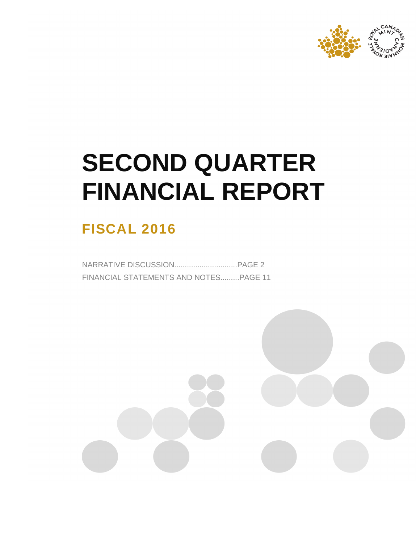

# **SECOND QUARTER FINANCIAL REPORT**

# **FISCAL 2016**

NARRATIVE DISCUSSION..............................PAGE 2 FINANCIAL STATEMENTS AND NOTES.........PAGE 11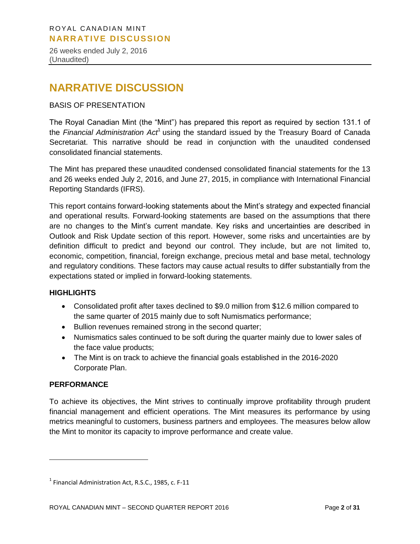26 weeks ended July 2, 2016 (Unaudited)

# **NARRATIVE DISCUSSION**

#### BASIS OF PRESENTATION

The Royal Canadian Mint (the "Mint") has prepared this report as required by section 131.1 of the Financial Administration Act<sup>1</sup> using the standard issued by the Treasury Board of Canada Secretariat. This narrative should be read in conjunction with the unaudited condensed consolidated financial statements.

The Mint has prepared these unaudited condensed consolidated financial statements for the 13 and 26 weeks ended July 2, 2016, and June 27, 2015, in compliance with International Financial Reporting Standards (IFRS).

This report contains forward-looking statements about the Mint's strategy and expected financial and operational results. Forward-looking statements are based on the assumptions that there are no changes to the Mint's current mandate. Key risks and uncertainties are described in Outlook and Risk Update section of this report. However, some risks and uncertainties are by definition difficult to predict and beyond our control. They include, but are not limited to, economic, competition, financial, foreign exchange, precious metal and base metal, technology and regulatory conditions. These factors may cause actual results to differ substantially from the expectations stated or implied in forward-looking statements.

#### **HIGHLIGHTS**

- Consolidated profit after taxes declined to \$9.0 million from \$12.6 million compared to the same quarter of 2015 mainly due to soft Numismatics performance;
- Bullion revenues remained strong in the second quarter;
- Numismatics sales continued to be soft during the quarter mainly due to lower sales of the face value products;
- The Mint is on track to achieve the financial goals established in the 2016-2020 Corporate Plan.

#### **PERFORMANCE**

 $\overline{a}$ 

To achieve its objectives, the Mint strives to continually improve profitability through prudent financial management and efficient operations. The Mint measures its performance by using metrics meaningful to customers, business partners and employees. The measures below allow the Mint to monitor its capacity to improve performance and create value.

 $<sup>1</sup>$  Financial Administration Act, R.S.C., 1985, c. F-11</sup>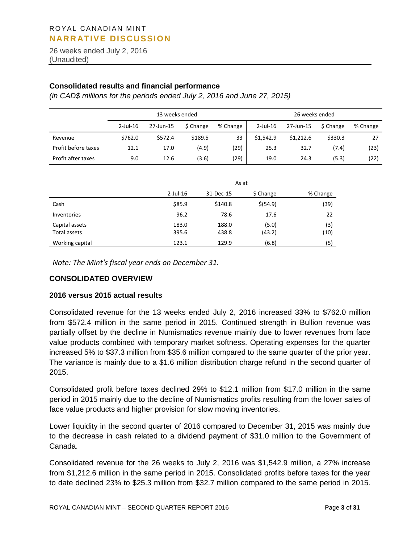26 weeks ended July 2, 2016 (Unaudited)

#### **Consolidated results and financial performance**

*(in CAD\$ millions for the periods ended July 2, 2016 and June 27, 2015)*

|                     |             | 13 weeks ended |           |          |             | 26 weeks ended |           |          |
|---------------------|-------------|----------------|-----------|----------|-------------|----------------|-----------|----------|
|                     | $2$ -Jul-16 | 27-Jun-15      | \$ Change | % Change | $2$ -Jul-16 | 27-Jun-15      | \$ Change | % Change |
| Revenue             | \$762.0     | \$572.4        | \$189.5   | 33       | \$1,542.9   | \$1,212.6      | \$330.3   | 27       |
| Profit before taxes | 12.1        | 17.0           | (4.9)     | (29)     | 25.3        | 32.7           | (7.4)     | (23)     |
| Profit after taxes  | 9.0         | 12.6           | (3.6)     | (29)     | 19.0        | 24.3           | (5.3)     | (22)     |

|                                |                |                | As at           |             |
|--------------------------------|----------------|----------------|-----------------|-------------|
|                                | $2$ -Jul-16    | 31-Dec-15      | \$ Change       | % Change    |
| Cash                           | \$85.9         | \$140.8        | \$ (54.9)       | (39)        |
| Inventories                    | 96.2           | 78.6           | 17.6            | 22          |
| Capital assets<br>Total assets | 183.0<br>395.6 | 188.0<br>438.8 | (5.0)<br>(43.2) | (3)<br>(10) |
| Working capital                | 123.1          | 129.9          | (6.8)           | (5)         |

*Note: The Mint's fiscal year ends on December 31.* 

#### **CONSOLIDATED OVERVIEW**

#### **2016 versus 2015 actual results**

Consolidated revenue for the 13 weeks ended July 2, 2016 increased 33% to \$762.0 million from \$572.4 million in the same period in 2015. Continued strength in Bullion revenue was partially offset by the decline in Numismatics revenue mainly due to lower revenues from face value products combined with temporary market softness. Operating expenses for the quarter increased 5% to \$37.3 million from \$35.6 million compared to the same quarter of the prior year. The variance is mainly due to a \$1.6 million distribution charge refund in the second quarter of 2015.

Consolidated profit before taxes declined 29% to \$12.1 million from \$17.0 million in the same period in 2015 mainly due to the decline of Numismatics profits resulting from the lower sales of face value products and higher provision for slow moving inventories.

Lower liquidity in the second quarter of 2016 compared to December 31, 2015 was mainly due to the decrease in cash related to a dividend payment of \$31.0 million to the Government of Canada.

Consolidated revenue for the 26 weeks to July 2, 2016 was \$1,542.9 million, a 27% increase from \$1,212.6 million in the same period in 2015. Consolidated profits before taxes for the year to date declined 23% to \$25.3 million from \$32.7 million compared to the same period in 2015.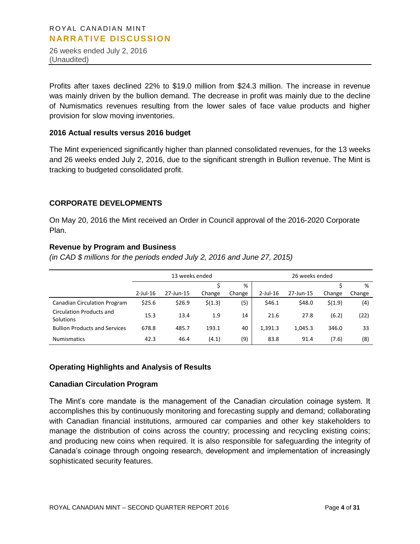26 weeks ended July 2, 2016 (Unaudited)

Profits after taxes declined 22% to \$19.0 million from \$24.3 million. The increase in revenue was mainly driven by the bullion demand. The decrease in profit was mainly due to the decline of Numismatics revenues resulting from the lower sales of face value products and higher provision for slow moving inventories.

#### **2016 Actual results versus 2016 budget**

The Mint experienced significantly higher than planned consolidated revenues, for the 13 weeks and 26 weeks ended July 2, 2016, due to the significant strength in Bullion revenue. The Mint is tracking to budgeted consolidated profit.

#### **CORPORATE DEVELOPMENTS**

On May 20, 2016 the Mint received an Order in Council approval of the 2016-2020 Corporate Plan.

#### **Revenue by Program and Business**

*(in CAD \$ millions for the periods ended July 2, 2016 and June 27, 2015)*

|                                       | 13 weeks ended |           |         |        |             | 26 weeks ended |         |        |
|---------------------------------------|----------------|-----------|---------|--------|-------------|----------------|---------|--------|
|                                       |                |           |         | %      |             |                |         | %      |
|                                       | $2$ -Jul-16    | 27-Jun-15 | Change  | Change | $2$ -Jul-16 | 27-Jun-15      | Change  | Change |
| <b>Canadian Circulation Program</b>   | \$25.6         | \$26.9    | \$(1.3) | (5)    | \$46.1      | \$48.0         | \$(1.9) | (4)    |
| Circulation Products and<br>Solutions | 15.3           | 13.4      | 1.9     | 14     | 21.6        | 27.8           | (6.2)   | (22)   |
| <b>Bullion Products and Services</b>  | 678.8          | 485.7     | 193.1   | 40     | 1,391.3     | 1,045.3        | 346.0   | 33     |
| <b>Numismatics</b>                    | 42.3           | 46.4      | (4.1)   | (9)    | 83.8        | 91.4           | (7.6)   | (8)    |

#### **Operating Highlights and Analysis of Results**

#### **Canadian Circulation Program**

The Mint's core mandate is the management of the Canadian circulation coinage system. It accomplishes this by continuously monitoring and forecasting supply and demand; collaborating with Canadian financial institutions, armoured car companies and other key stakeholders to manage the distribution of coins across the country; processing and recycling existing coins; and producing new coins when required. It is also responsible for safeguarding the integrity of Canada's coinage through ongoing research, development and implementation of increasingly sophisticated security features.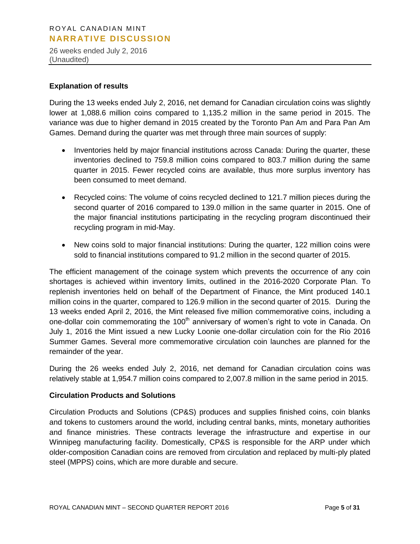26 weeks ended July 2, 2016 (Unaudited)

#### **Explanation of results**

During the 13 weeks ended July 2, 2016, net demand for Canadian circulation coins was slightly lower at 1,088.6 million coins compared to 1,135.2 million in the same period in 2015. The variance was due to higher demand in 2015 created by the Toronto Pan Am and Para Pan Am Games. Demand during the quarter was met through three main sources of supply:

- Inventories held by major financial institutions across Canada: During the quarter, these inventories declined to 759.8 million coins compared to 803.7 million during the same quarter in 2015. Fewer recycled coins are available, thus more surplus inventory has been consumed to meet demand.
- Recycled coins: The volume of coins recycled declined to 121.7 million pieces during the second quarter of 2016 compared to 139.0 million in the same quarter in 2015. One of the major financial institutions participating in the recycling program discontinued their recycling program in mid-May.
- New coins sold to major financial institutions: During the quarter, 122 million coins were sold to financial institutions compared to 91.2 million in the second quarter of 2015.

The efficient management of the coinage system which prevents the occurrence of any coin shortages is achieved within inventory limits, outlined in the 2016-2020 Corporate Plan. To replenish inventories held on behalf of the Department of Finance, the Mint produced 140.1 million coins in the quarter, compared to 126.9 million in the second quarter of 2015. During the 13 weeks ended April 2, 2016, the Mint released five million commemorative coins, including a one-dollar coin commemorating the 100<sup>th</sup> anniversary of women's right to vote in Canada. On July 1, 2016 the Mint issued a new Lucky Loonie one-dollar circulation coin for the Rio 2016 Summer Games. Several more commemorative circulation coin launches are planned for the remainder of the year.

During the 26 weeks ended July 2, 2016, net demand for Canadian circulation coins was relatively stable at 1,954.7 million coins compared to 2,007.8 million in the same period in 2015.

#### **Circulation Products and Solutions**

Circulation Products and Solutions (CP&S) produces and supplies finished coins, coin blanks and tokens to customers around the world, including central banks, mints, monetary authorities and finance ministries. These contracts leverage the infrastructure and expertise in our Winnipeg manufacturing facility. Domestically, CP&S is responsible for the ARP under which older-composition Canadian coins are removed from circulation and replaced by multi-ply plated steel (MPPS) coins, which are more durable and secure.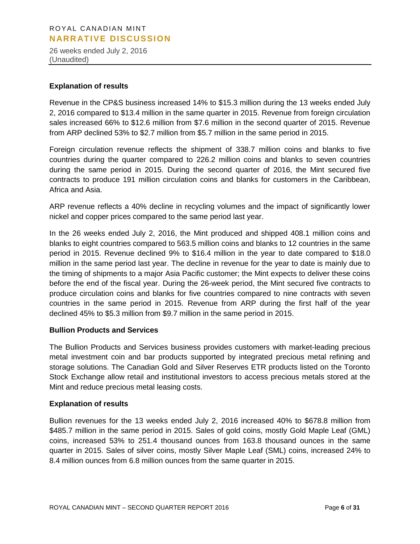26 weeks ended July 2, 2016 (Unaudited)

#### **Explanation of results**

Revenue in the CP&S business increased 14% to \$15.3 million during the 13 weeks ended July 2, 2016 compared to \$13.4 million in the same quarter in 2015. Revenue from foreign circulation sales increased 66% to \$12.6 million from \$7.6 million in the second quarter of 2015. Revenue from ARP declined 53% to \$2.7 million from \$5.7 million in the same period in 2015.

Foreign circulation revenue reflects the shipment of 338.7 million coins and blanks to five countries during the quarter compared to 226.2 million coins and blanks to seven countries during the same period in 2015. During the second quarter of 2016, the Mint secured five contracts to produce 191 million circulation coins and blanks for customers in the Caribbean, Africa and Asia.

ARP revenue reflects a 40% decline in recycling volumes and the impact of significantly lower nickel and copper prices compared to the same period last year.

In the 26 weeks ended July 2, 2016, the Mint produced and shipped 408.1 million coins and blanks to eight countries compared to 563.5 million coins and blanks to 12 countries in the same period in 2015. Revenue declined 9% to \$16.4 million in the year to date compared to \$18.0 million in the same period last year. The decline in revenue for the year to date is mainly due to the timing of shipments to a major Asia Pacific customer; the Mint expects to deliver these coins before the end of the fiscal year. During the 26-week period, the Mint secured five contracts to produce circulation coins and blanks for five countries compared to nine contracts with seven countries in the same period in 2015. Revenue from ARP during the first half of the year declined 45% to \$5.3 million from \$9.7 million in the same period in 2015.

#### **Bullion Products and Services**

The Bullion Products and Services business provides customers with market-leading precious metal investment coin and bar products supported by integrated precious metal refining and storage solutions. The Canadian Gold and Silver Reserves ETR products listed on the Toronto Stock Exchange allow retail and institutional investors to access precious metals stored at the Mint and reduce precious metal leasing costs.

#### **Explanation of results**

Bullion revenues for the 13 weeks ended July 2, 2016 increased 40% to \$678.8 million from \$485.7 million in the same period in 2015. Sales of gold coins, mostly Gold Maple Leaf (GML) coins, increased 53% to 251.4 thousand ounces from 163.8 thousand ounces in the same quarter in 2015. Sales of silver coins, mostly Silver Maple Leaf (SML) coins, increased 24% to 8.4 million ounces from 6.8 million ounces from the same quarter in 2015.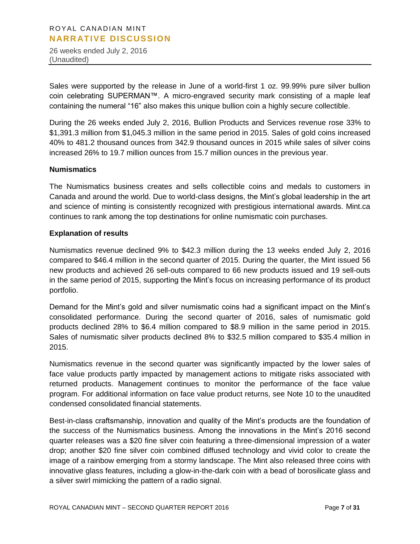26 weeks ended July 2, 2016 (Unaudited)

Sales were supported by the release in June of a world-first 1 oz. 99.99% pure silver bullion coin celebrating SUPERMAN™. A micro-engraved security mark consisting of a maple leaf containing the numeral "16" also makes this unique bullion coin a highly secure collectible.

During the 26 weeks ended July 2, 2016, Bullion Products and Services revenue rose 33% to \$1,391.3 million from \$1,045.3 million in the same period in 2015. Sales of gold coins increased 40% to 481.2 thousand ounces from 342.9 thousand ounces in 2015 while sales of silver coins increased 26% to 19.7 million ounces from 15.7 million ounces in the previous year.

#### **Numismatics**

The Numismatics business creates and sells collectible coins and medals to customers in Canada and around the world. Due to world-class designs, the Mint's global leadership in the art and science of minting is consistently recognized with prestigious international awards. Mint.ca continues to rank among the top destinations for online numismatic coin purchases.

#### **Explanation of results**

Numismatics revenue declined 9% to \$42.3 million during the 13 weeks ended July 2, 2016 compared to \$46.4 million in the second quarter of 2015. During the quarter, the Mint issued 56 new products and achieved 26 sell-outs compared to 66 new products issued and 19 sell-outs in the same period of 2015, supporting the Mint's focus on increasing performance of its product portfolio.

Demand for the Mint's gold and silver numismatic coins had a significant impact on the Mint's consolidated performance. During the second quarter of 2016, sales of numismatic gold products declined 28% to \$6.4 million compared to \$8.9 million in the same period in 2015. Sales of numismatic silver products declined 8% to \$32.5 million compared to \$35.4 million in 2015.

Numismatics revenue in the second quarter was significantly impacted by the lower sales of face value products partly impacted by management actions to mitigate risks associated with returned products. Management continues to monitor the performance of the face value program. For additional information on face value product returns, see Note 10 to the unaudited condensed consolidated financial statements.

Best-in-class craftsmanship, innovation and quality of the Mint's products are the foundation of the success of the Numismatics business. Among the innovations in the Mint's 2016 second quarter releases was a \$20 fine silver coin featuring a three-dimensional impression of a water drop; another \$20 fine silver coin combined diffused technology and vivid color to create the image of a rainbow emerging from a stormy landscape. The Mint also released three coins with innovative glass features, including a glow-in-the-dark coin with a bead of borosilicate glass and a silver swirl mimicking the pattern of a radio signal.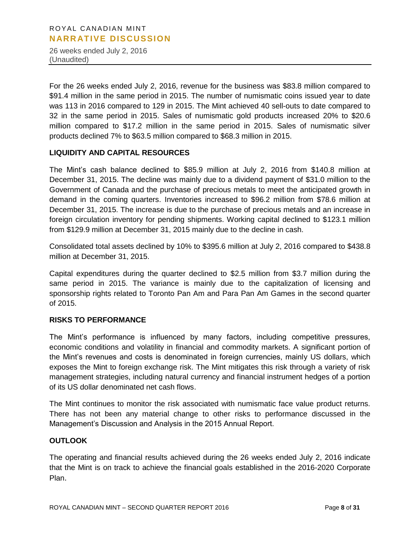26 weeks ended July 2, 2016 (Unaudited)

For the 26 weeks ended July 2, 2016, revenue for the business was \$83.8 million compared to \$91.4 million in the same period in 2015. The number of numismatic coins issued year to date was 113 in 2016 compared to 129 in 2015. The Mint achieved 40 sell-outs to date compared to 32 in the same period in 2015. Sales of numismatic gold products increased 20% to \$20.6 million compared to \$17.2 million in the same period in 2015. Sales of numismatic silver products declined 7% to \$63.5 million compared to \$68.3 million in 2015.

#### **LIQUIDITY AND CAPITAL RESOURCES**

The Mint's cash balance declined to \$85.9 million at July 2, 2016 from \$140.8 million at December 31, 2015. The decline was mainly due to a dividend payment of \$31.0 million to the Government of Canada and the purchase of precious metals to meet the anticipated growth in demand in the coming quarters. Inventories increased to \$96.2 million from \$78.6 million at December 31, 2015. The increase is due to the purchase of precious metals and an increase in foreign circulation inventory for pending shipments. Working capital declined to \$123.1 million from \$129.9 million at December 31, 2015 mainly due to the decline in cash.

Consolidated total assets declined by 10% to \$395.6 million at July 2, 2016 compared to \$438.8 million at December 31, 2015.

Capital expenditures during the quarter declined to \$2.5 million from \$3.7 million during the same period in 2015. The variance is mainly due to the capitalization of licensing and sponsorship rights related to Toronto Pan Am and Para Pan Am Games in the second quarter of 2015.

#### **RISKS TO PERFORMANCE**

The Mint's performance is influenced by many factors, including competitive pressures, economic conditions and volatility in financial and commodity markets. A significant portion of the Mint's revenues and costs is denominated in foreign currencies, mainly US dollars, which exposes the Mint to foreign exchange risk. The Mint mitigates this risk through a variety of risk management strategies, including natural currency and financial instrument hedges of a portion of its US dollar denominated net cash flows.

The Mint continues to monitor the risk associated with numismatic face value product returns. There has not been any material change to other risks to performance discussed in the Management's Discussion and Analysis in the 2015 Annual Report.

#### **OUTLOOK**

The operating and financial results achieved during the 26 weeks ended July 2, 2016 indicate that the Mint is on track to achieve the financial goals established in the 2016-2020 Corporate Plan.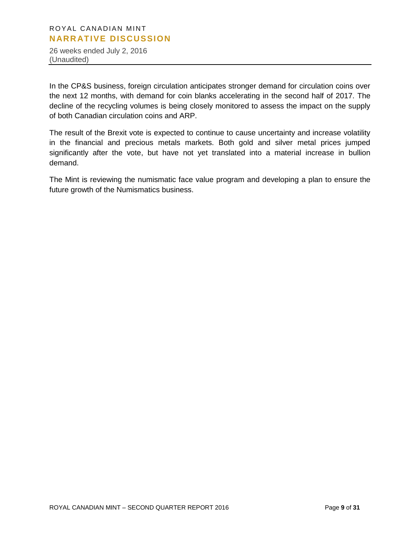26 weeks ended July 2, 2016 (Unaudited)

In the CP&S business, foreign circulation anticipates stronger demand for circulation coins over the next 12 months, with demand for coin blanks accelerating in the second half of 2017. The decline of the recycling volumes is being closely monitored to assess the impact on the supply of both Canadian circulation coins and ARP.

The result of the Brexit vote is expected to continue to cause uncertainty and increase volatility in the financial and precious metals markets. Both gold and silver metal prices jumped significantly after the vote, but have not yet translated into a material increase in bullion demand.

The Mint is reviewing the numismatic face value program and developing a plan to ensure the future growth of the Numismatics business.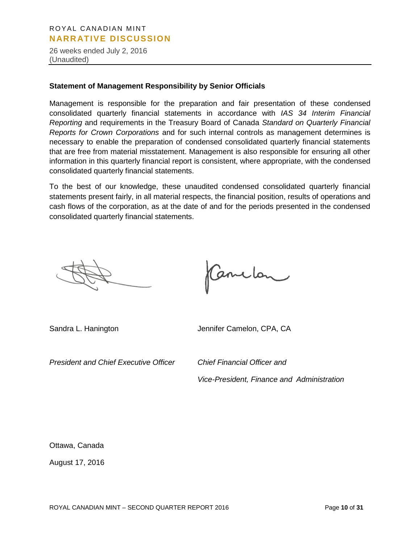26 weeks ended July 2, 2016 (Unaudited)

#### **Statement of Management Responsibility by Senior Officials**

Management is responsible for the preparation and fair presentation of these condensed consolidated quarterly financial statements in accordance with *IAS 34 Interim Financial Reporting* and requirements in the Treasury Board of Canada *Standard on Quarterly Financial Reports for Crown Corporations* and for such internal controls as management determines is necessary to enable the preparation of condensed consolidated quarterly financial statements that are free from material misstatement. Management is also responsible for ensuring all other information in this quarterly financial report is consistent, where appropriate, with the condensed consolidated quarterly financial statements.

To the best of our knowledge, these unaudited condensed consolidated quarterly financial statements present fairly, in all material respects, the financial position, results of operations and cash flows of the corporation, as at the date of and for the periods presented in the condensed consolidated quarterly financial statements.

Canclon

Sandra L. Hanington Jennifer Camelon, CPA, CA

*President and Chief Executive Officer Chief Financial Officer and* 

*Vice-President, Finance and Administration*

Ottawa, Canada

August 17, 2016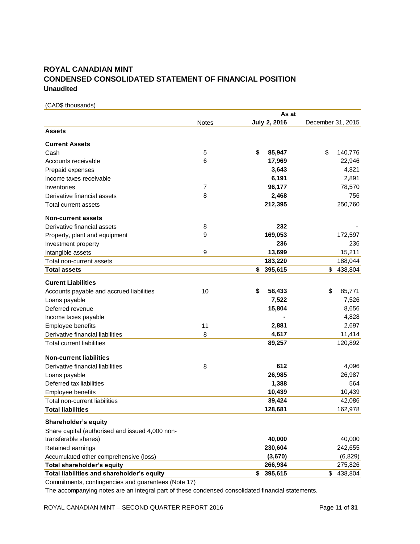# **ROYAL CANADIAN MINT CONDENSED CONSOLIDATED STATEMENT OF FINANCIAL POSITION Unaudited**

(CAD\$ thousands)

|                                                 |              | As at               |                   |
|-------------------------------------------------|--------------|---------------------|-------------------|
|                                                 | <b>Notes</b> | <b>July 2, 2016</b> | December 31, 2015 |
| <b>Assets</b>                                   |              |                     |                   |
| <b>Current Assets</b>                           |              |                     |                   |
| Cash                                            | 5            | \$<br>85,947        | \$<br>140,776     |
| Accounts receivable                             | 6            | 17,969              | 22,946            |
| Prepaid expenses                                |              | 3,643               | 4,821             |
| Income taxes receivable                         |              | 6,191               | 2,891             |
| Inventories                                     | 7            | 96,177              | 78,570            |
| Derivative financial assets                     | 8            | 2,468               | 756               |
| <b>Total current assets</b>                     |              | 212,395             | 250,760           |
| <b>Non-current assets</b>                       |              |                     |                   |
| Derivative financial assets                     | 8            | 232                 |                   |
| Property, plant and equipment                   | 9            | 169,053             | 172,597           |
| Investment property                             |              | 236                 | 236               |
| Intangible assets                               | 9            | 13,699              | 15,211            |
| Total non-current assets                        |              | 183,220             | 188,044           |
| <b>Total assets</b>                             |              | \$<br>395,615       | \$<br>438,804     |
| <b>Curent Liabilities</b>                       |              |                     |                   |
| Accounts payable and accrued liabilities        | 10           | \$<br>58,433        | \$<br>85,771      |
| Loans payable                                   |              | 7,522               | 7,526             |
| Deferred revenue                                |              | 15,804              | 8,656             |
| Income taxes payable                            |              |                     | 4,828             |
| Employee benefits                               | 11           | 2,881               | 2,697             |
| Derivative financial liabilities                | 8            | 4,617               | 11,414            |
| <b>Total current liabilities</b>                |              | 89,257              | 120,892           |
| <b>Non-current liabilities</b>                  |              |                     |                   |
| Derivative financial liabilities                | 8            | 612                 | 4,096             |
| Loans payable                                   |              | 26,985              | 26,987            |
| Deferred tax liabilities                        |              | 1,388               | 564               |
| <b>Employee benefits</b>                        |              | 10,439              | 10,439            |
| Total non-current liabilities                   |              | 39,424              | 42,086            |
| <b>Total liabilities</b>                        |              | 128,681             | 162,978           |
| Shareholder's equity                            |              |                     |                   |
| Share capital (authorised and issued 4,000 non- |              |                     |                   |
| transferable shares)                            |              | 40,000              | 40,000            |
| Retained earnings                               |              | 230,604             | 242,655           |
| Accumulated other comprehensive (loss)          |              | (3,670)             | (6, 829)          |
| Total shareholder's equity                      |              | 266,934             | 275,826           |
| Total liabilities and shareholder's equity      |              | \$395,615           | \$<br>438,804     |

Commitments, contingencies and guarantees (Note 17)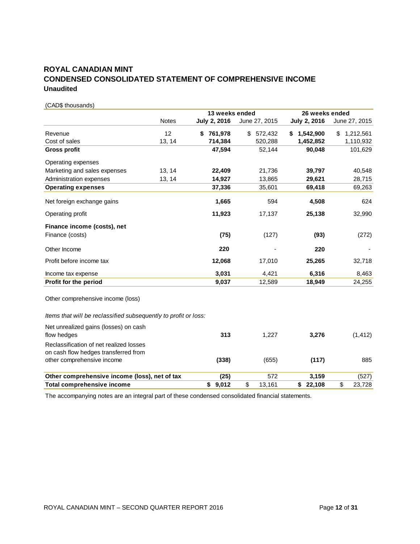# **ROYAL CANADIAN MINT CONDENSED CONSOLIDATED STATEMENT OF COMPREHENSIVE INCOME Unaudited**

(CAD\$ thousands)

|                                                                 |              | 13 weeks ended      |               | 26 weeks ended      |                 |
|-----------------------------------------------------------------|--------------|---------------------|---------------|---------------------|-----------------|
|                                                                 | <b>Notes</b> | <b>July 2, 2016</b> | June 27, 2015 | <b>July 2, 2016</b> | June 27, 2015   |
| Revenue                                                         | 12           | 761,978<br>S        | \$<br>572,432 | \$<br>1,542,900     | 1,212,561<br>\$ |
| Cost of sales                                                   | 13, 14       | 714,384             | 520,288       | 1,452,852           | 1,110,932       |
| <b>Gross profit</b>                                             |              | 47,594              | 52,144        | 90,048              | 101,629         |
| Operating expenses                                              |              |                     |               |                     |                 |
| Marketing and sales expenses                                    | 13, 14       | 22,409              | 21,736        | 39,797              | 40,548          |
| Administration expenses                                         | 13, 14       | 14,927              | 13,865        | 29,621              | 28,715          |
| <b>Operating expenses</b>                                       |              | 37,336              | 35,601        | 69,418              | 69,263          |
| Net foreign exchange gains                                      |              | 1,665               | 594           | 4,508               | 624             |
| Operating profit                                                |              | 11,923              | 17,137        | 25,138              | 32,990          |
| Finance income (costs), net<br>Finance (costs)                  |              | (75)                | (127)         | (93)                | (272)           |
| Other Income                                                    |              | 220                 |               | 220                 |                 |
| Profit before income tax                                        |              | 12,068              | 17,010        | 25,265              | 32,718          |
| Income tax expense                                              |              | 3,031               | 4,421         | 6,316               | 8,463           |
| Profit for the period                                           |              | 9,037               | 12,589        | 18,949              | 24,255          |
| Other comprehensive income (loss)                               |              |                     |               |                     |                 |
| Items that will be reclassified subsequently to profit or loss: |              |                     |               |                     |                 |
| Net unrealized gains (losses) on cash<br>flow hedges            |              | 313                 | 1,227         | 3,276               | (1, 412)        |
| Reclassification of net realized losses                         |              |                     |               |                     |                 |
| on cash flow hedges transferred from                            |              |                     |               |                     |                 |
| other comprehensive income                                      |              | (338)               | (655)         | (117)               | 885             |
| Other comprehensive income (loss), net of tax                   |              | (25)                | 572           | 3,159               | (527)           |
| <b>Total comprehensive income</b>                               |              | \$9,012             | \$<br>13,161  | \$22,108            | \$<br>23,728    |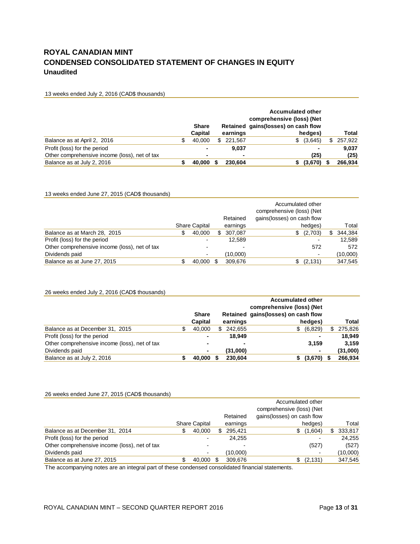# **ROYAL CANADIAN MINT CONDENSED CONSOLIDATED STATEMENT OF CHANGES IN EQUITY Unaudited**

#### 13 weeks ended July 2, 2016 (CAD\$ thousands)

|                                               |   | <b>Share</b>   |   |          | <b>Accumulated other</b><br>comprehensive (loss) (Net<br>Retained gains (losses) on cash flow |     |              |
|-----------------------------------------------|---|----------------|---|----------|-----------------------------------------------------------------------------------------------|-----|--------------|
|                                               |   | <b>Capital</b> |   | earnings | hedges)                                                                                       |     | <b>Total</b> |
| Balance as at April 2, 2016                   | S | 40.000         | S | 221.567  | \$ (3,645)                                                                                    | \$. | 257,922      |
| Profit (loss) for the period                  |   | ٠              |   | 9.037    | ٠                                                                                             |     | 9.037        |
| Other comprehensive income (loss), net of tax |   | ٠              |   |          | (25)                                                                                          |     | (25)         |
| Balance as at July 2, 2016                    |   | 40,000         |   | 230.604  | $(3,670)$ \$                                                                                  |     | 266,934      |

#### 13 weeks ended June 27, 2015 (CAD\$ thousands)

|                                               |                      | Retained     | Accumulated other<br>comprehensive (loss) (Net<br>gains(losses) on cash flow |    |          |
|-----------------------------------------------|----------------------|--------------|------------------------------------------------------------------------------|----|----------|
|                                               | <b>Share Capital</b> | earnings     | hedges)                                                                      |    | Total    |
| Balance as at March 28, 2015                  | 40,000<br>S          | 307,087<br>S | \$ (2,703)                                                                   | S. | 344,384  |
| Profit (loss) for the period                  |                      | 12.589       |                                                                              |    | 12.589   |
| Other comprehensive income (loss), net of tax |                      |              | 572                                                                          |    | 572      |
| Dividends paid                                |                      | (10,000)     |                                                                              |    | (10,000) |
| Balance as at June 27, 2015                   | 40.000               | 309.676      | (2, 131)                                                                     |    | 347,545  |

#### 26 weeks ended July 2, 2016 (CAD\$ thousands)

|                                               |                |   |          | <b>Accumulated other</b><br>comprehensive (loss) (Net |          |
|-----------------------------------------------|----------------|---|----------|-------------------------------------------------------|----------|
|                                               | <b>Share</b>   |   |          | Retained gains (losses) on cash flow                  |          |
|                                               | Capital        |   | earnings | hedges)                                               | Total    |
| Balance as at December 31, 2015               | 40,000         | S | 242.655  | (6,829)<br>\$.                                        | 275,826  |
| Profit (loss) for the period                  | $\blacksquare$ |   | 18.949   |                                                       | 18.949   |
| Other comprehensive income (loss), net of tax | $\blacksquare$ |   |          | 3.159                                                 | 3.159    |
| Dividends paid                                | $\blacksquare$ |   | (31,000) | ۰                                                     | (31,000) |
| Balance as at July 2, 2016                    | 40,000         |   | 230,604  | (3,670)                                               | 266,934  |

#### 26 weeks ended June 27, 2015 (CAD\$ thousands)

|                                               |   |                          |   |          | Accumulated other<br>comprehensive (loss) (Net |    |          |
|-----------------------------------------------|---|--------------------------|---|----------|------------------------------------------------|----|----------|
|                                               |   |                          |   | Retained | gains (losses) on cash flow                    |    |          |
|                                               |   | <b>Share Capital</b>     |   | earnings | hedges)                                        |    | Total    |
| Balance as at December 31, 2014               | S | 40,000                   | S | 295.421  | \$(1,604)                                      | S. | 333,817  |
| Profit (loss) for the period                  |   | $\overline{\phantom{0}}$ |   | 24.255   |                                                |    | 24,255   |
| Other comprehensive income (loss), net of tax |   | $\overline{\phantom{0}}$ |   |          | (527)                                          |    | (527)    |
| Dividends paid                                |   | $\overline{\phantom{0}}$ |   | (10,000) |                                                |    | (10,000) |
| Balance as at June 27, 2015                   |   | 40,000                   |   | 309,676  | \$ (2,131)                                     |    | 347,545  |
|                                               |   |                          |   |          |                                                |    |          |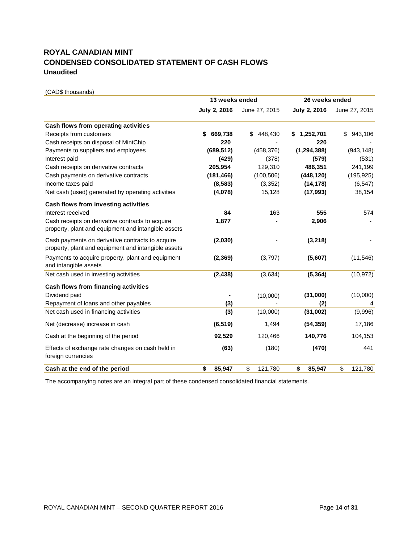# **ROYAL CANADIAN MINT CONDENSED CONSOLIDATED STATEMENT OF CASH FLOWS Unaudited**

(CAD\$ thousands) **July 2, 2016** June 27, 2015 **July 2, 2016** June 27, 2015 **Cash flows from operating activities** Receipts from customers **\$ 669,738** \$ 448,430 **\$ 1,252,701** \$ 943,106 Cash receipts on disposal of MintChip **220** - **220** - Payments to suppliers and employees **(689,512)** (458,376) **(1,294,388)** (943,148) Interest paid **(429)** (378) **(579)** (531) Cash receipts on derivative contracts **205,954** 129,310 **486,351** 241,199 Cash payments on derivative contracts **(181,466)** (100,506) **(448,120)** (195,925) Income taxes paid **(8,583)** (3,352) **(14,178)** (6,547) Net cash (used) generated by operating activities **(4,078)** 15,128 **(17,993)** 38,154 **Cash flows from investing activities** Interest received **84** 163 **555** 574 Cash receipts on derivative contracts to acquire property, plant and equipment and intangible assets  **1,877** - **2,906** - Cash payments on derivative contracts to acquire property, plant and equipment and intangible assets **(2,030)** - **(3,218)** - Payments to acquire property, plant and equipment and intangible assets **(2,369)** (3,797) **(5,607)** (11,546) Net cash used in investing activities **(2,438)** (3,634) **(5,364)** (10,972) **Cash flows from financing activities** Dividend paid **-** (10,000) **(31,000)** (10,000) Repayment of loans and other payables **(3)** - **(2)** 4 Net cash used in financing activities **(3)** (10,000) **(31,002)** (9,996) Net (decrease) increase in cash **(6,519)** 1,494 **(54,359)** 17,186 Cash at the beginning of the period **92,529** 120,466 **140,776** 104,153 Effects of exchange rate changes on cash held in foreign currencies **(63)** (180) **(470)** 441 **Cash at the end of the period \$ 85,947** \$ 121,780 **\$ 85,947** \$ 121,780 **13 weeks ended 26 weeks ended**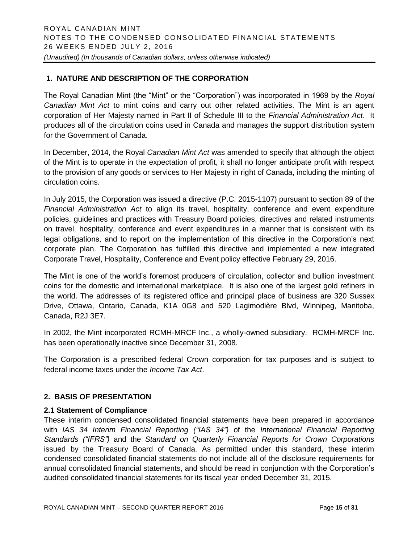# **1. NATURE AND DESCRIPTION OF THE CORPORATION**

The Royal Canadian Mint (the "Mint" or the "Corporation") was incorporated in 1969 by the *Royal Canadian Mint Act* to mint coins and carry out other related activities. The Mint is an agent corporation of Her Majesty named in Part II of Schedule III to the *Financial Administration Act*. It produces all of the circulation coins used in Canada and manages the support distribution system for the Government of Canada.

In December, 2014, the Royal *Canadian Mint Act* was amended to specify that although the object of the Mint is to operate in the expectation of profit, it shall no longer anticipate profit with respect to the provision of any goods or services to Her Majesty in right of Canada, including the minting of circulation coins.

In July 2015, the Corporation was issued a directive (P.C. 2015-1107) pursuant to section 89 of the *Financial Administration Act* to align its travel, hospitality, conference and event expenditure policies, guidelines and practices with Treasury Board policies, directives and related instruments on travel, hospitality, conference and event expenditures in a manner that is consistent with its legal obligations, and to report on the implementation of this directive in the Corporation's next corporate plan. The Corporation has fulfilled this directive and implemented a new integrated Corporate Travel, Hospitality, Conference and Event policy effective February 29, 2016.

The Mint is one of the world's foremost producers of circulation, collector and bullion investment coins for the domestic and international marketplace. It is also one of the largest gold refiners in the world. The addresses of its registered office and principal place of business are 320 Sussex Drive, Ottawa, Ontario, Canada, K1A 0G8 and 520 Lagimodière Blvd, Winnipeg, Manitoba, Canada, R2J 3E7.

In 2002, the Mint incorporated RCMH-MRCF Inc., a wholly-owned subsidiary. RCMH-MRCF Inc. has been operationally inactive since December 31, 2008.

The Corporation is a prescribed federal Crown corporation for tax purposes and is subject to federal income taxes under the *Income Tax Act*.

#### **2. BASIS OF PRESENTATION**

#### **2.1 Statement of Compliance**

These interim condensed consolidated financial statements have been prepared in accordance with *IAS 34 Interim Financial Reporting ("IAS 34")* of the *International Financial Reporting Standards ("IFRS")* and the *Standard on Quarterly Financial Reports for Crown Corporations* issued by the Treasury Board of Canada. As permitted under this standard, these interim condensed consolidated financial statements do not include all of the disclosure requirements for annual consolidated financial statements, and should be read in conjunction with the Corporation's audited consolidated financial statements for its fiscal year ended December 31, 2015.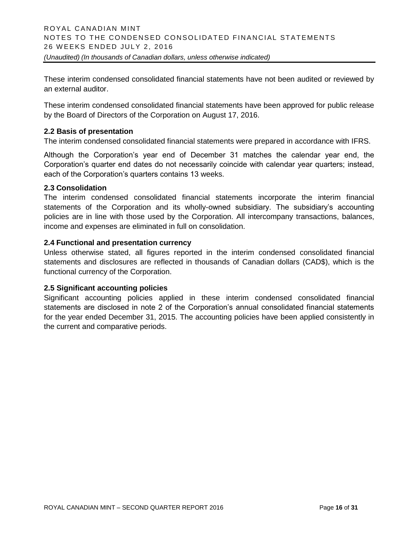These interim condensed consolidated financial statements have not been audited or reviewed by an external auditor.

These interim condensed consolidated financial statements have been approved for public release by the Board of Directors of the Corporation on August 17, 2016.

#### **2.2 Basis of presentation**

The interim condensed consolidated financial statements were prepared in accordance with IFRS.

Although the Corporation's year end of December 31 matches the calendar year end, the Corporation's quarter end dates do not necessarily coincide with calendar year quarters; instead, each of the Corporation's quarters contains 13 weeks.

#### **2.3 Consolidation**

The interim condensed consolidated financial statements incorporate the interim financial statements of the Corporation and its wholly-owned subsidiary. The subsidiary's accounting policies are in line with those used by the Corporation. All intercompany transactions, balances, income and expenses are eliminated in full on consolidation.

#### **2.4 Functional and presentation currency**

Unless otherwise stated, all figures reported in the interim condensed consolidated financial statements and disclosures are reflected in thousands of Canadian dollars (CAD\$), which is the functional currency of the Corporation.

#### **2.5 Significant accounting policies**

Significant accounting policies applied in these interim condensed consolidated financial statements are disclosed in note 2 of the Corporation's annual consolidated financial statements for the year ended December 31, 2015. The accounting policies have been applied consistently in the current and comparative periods.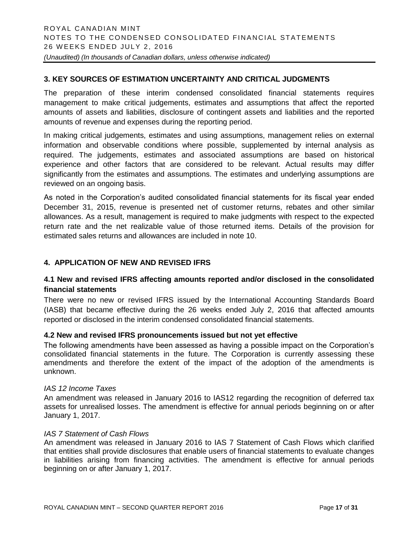#### **3. KEY SOURCES OF ESTIMATION UNCERTAINTY AND CRITICAL JUDGMENTS**

The preparation of these interim condensed consolidated financial statements requires management to make critical judgements, estimates and assumptions that affect the reported amounts of assets and liabilities, disclosure of contingent assets and liabilities and the reported amounts of revenue and expenses during the reporting period.

In making critical judgements, estimates and using assumptions, management relies on external information and observable conditions where possible, supplemented by internal analysis as required. The judgements, estimates and associated assumptions are based on historical experience and other factors that are considered to be relevant. Actual results may differ significantly from the estimates and assumptions. The estimates and underlying assumptions are reviewed on an ongoing basis.

As noted in the Corporation's audited consolidated financial statements for its fiscal year ended December 31, 2015, revenue is presented net of customer returns, rebates and other similar allowances. As a result, management is required to make judgments with respect to the expected return rate and the net realizable value of those returned items. Details of the provision for estimated sales returns and allowances are included in note 10.

# **4. APPLICATION OF NEW AND REVISED IFRS**

#### **4.1 New and revised IFRS affecting amounts reported and/or disclosed in the consolidated financial statements**

There were no new or revised IFRS issued by the International Accounting Standards Board (IASB) that became effective during the 26 weeks ended July 2, 2016 that affected amounts reported or disclosed in the interim condensed consolidated financial statements.

#### **4.2 New and revised IFRS pronouncements issued but not yet effective**

The following amendments have been assessed as having a possible impact on the Corporation's consolidated financial statements in the future. The Corporation is currently assessing these amendments and therefore the extent of the impact of the adoption of the amendments is unknown.

#### *IAS 12 Income Taxes*

An amendment was released in January 2016 to IAS12 regarding the recognition of deferred tax assets for unrealised losses. The amendment is effective for annual periods beginning on or after January 1, 2017.

#### *IAS 7 Statement of Cash Flows*

An amendment was released in January 2016 to IAS 7 Statement of Cash Flows which clarified that entities shall provide disclosures that enable users of financial statements to evaluate changes in liabilities arising from financing activities. The amendment is effective for annual periods beginning on or after January 1, 2017.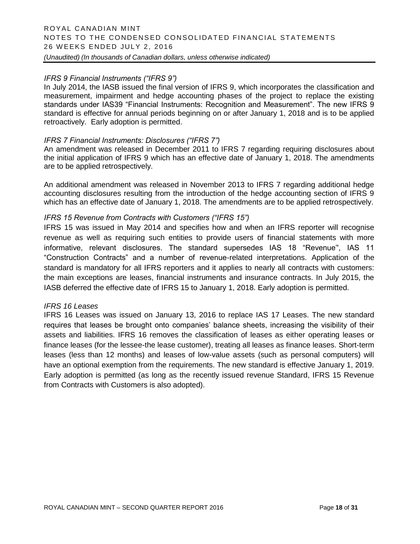#### *IFRS 9 Financial Instruments ("IFRS 9")*

In July 2014, the IASB issued the final version of IFRS 9, which incorporates the classification and measurement, impairment and hedge accounting phases of the project to replace the existing standards under IAS39 "Financial Instruments: Recognition and Measurement". The new IFRS 9 standard is effective for annual periods beginning on or after January 1, 2018 and is to be applied retroactively. Early adoption is permitted.

#### *IFRS 7 Financial Instruments: Disclosures ("IFRS 7")*

An amendment was released in December 2011 to IFRS 7 regarding requiring disclosures about the initial application of IFRS 9 which has an effective date of January 1, 2018. The amendments are to be applied retrospectively.

An additional amendment was released in November 2013 to IFRS 7 regarding additional hedge accounting disclosures resulting from the introduction of the hedge accounting section of IFRS 9 which has an effective date of January 1, 2018. The amendments are to be applied retrospectively.

#### *IFRS 15 Revenue from Contracts with Customers ("IFRS 15")*

IFRS 15 was issued in May 2014 and specifies how and when an IFRS reporter will recognise revenue as well as requiring such entities to provide users of financial statements with more informative, relevant disclosures. The standard supersedes IAS 18 "Revenue'', IAS 11 "Construction Contracts" and a number of revenue-related interpretations. Application of the standard is mandatory for all IFRS reporters and it applies to nearly all contracts with customers: the main exceptions are leases, financial instruments and insurance contracts. In July 2015, the IASB deferred the effective date of IFRS 15 to January 1, 2018. Early adoption is permitted.

#### *IFRS 16 Leases*

IFRS 16 Leases was issued on January 13, 2016 to replace IAS 17 Leases. The new standard requires that leases be brought onto companies' balance sheets, increasing the visibility of their assets and liabilities. IFRS 16 removes the classification of leases as either operating leases or finance leases (for the lessee-the lease customer), treating all leases as finance leases. Short-term leases (less than 12 months) and leases of low-value assets (such as personal computers) will have an optional exemption from the requirements. The new standard is effective January 1, 2019. Early adoption is permitted (as long as the recently issued revenue Standard, IFRS 15 Revenue from Contracts with Customers is also adopted).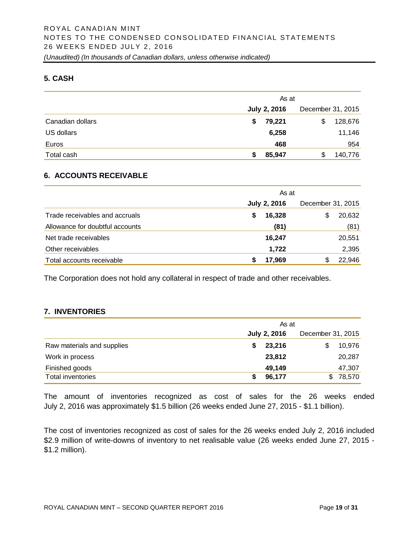#### **5. CASH**

|                  | As at               |                   |  |  |  |
|------------------|---------------------|-------------------|--|--|--|
|                  | <b>July 2, 2016</b> | December 31, 2015 |  |  |  |
| Canadian dollars | 79,221<br>\$        | 128,676<br>S      |  |  |  |
| US dollars       | 6,258               | 11,146            |  |  |  |
| Euros            | 468                 | 954               |  |  |  |
| Total cash       | 85,947              | 140,776           |  |  |  |

#### **6. ACCOUNTS RECEIVABLE**

|                                 | As at               |                   |  |  |  |
|---------------------------------|---------------------|-------------------|--|--|--|
|                                 | <b>July 2, 2016</b> | December 31, 2015 |  |  |  |
| Trade receivables and accruals  | 16,328<br>\$        | 20,632<br>\$      |  |  |  |
| Allowance for doubtful accounts | (81)                | (81)              |  |  |  |
| Net trade receivables           | 16.247              | 20,551            |  |  |  |
| Other receivables               | 1,722               | 2,395             |  |  |  |
| Total accounts receivable       | 17,969              | 22,946<br>S       |  |  |  |

The Corporation does not hold any collateral in respect of trade and other receivables.

#### **7. INVENTORIES**

|                            | As at               |                   |  |  |  |
|----------------------------|---------------------|-------------------|--|--|--|
|                            | <b>July 2, 2016</b> | December 31, 2015 |  |  |  |
| Raw materials and supplies | 23,216              | 10,976<br>\$.     |  |  |  |
| Work in process            | 23,812              | 20,287            |  |  |  |
| Finished goods             | 49,149              | 47,307            |  |  |  |
| Total inventories          | 96,177              | 78,570<br>\$.     |  |  |  |

The amount of inventories recognized as cost of sales for the 26 weeks ended July 2, 2016 was approximately \$1.5 billion (26 weeks ended June 27, 2015 - \$1.1 billion).

The cost of inventories recognized as cost of sales for the 26 weeks ended July 2, 2016 included \$2.9 million of write-downs of inventory to net realisable value (26 weeks ended June 27, 2015 - \$1.2 million).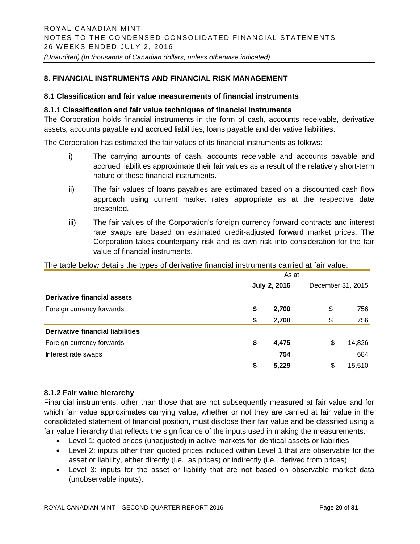#### **8. FINANCIAL INSTRUMENTS AND FINANCIAL RISK MANAGEMENT**

#### **8.1 Classification and fair value measurements of financial instruments**

#### **8.1.1 Classification and fair value techniques of financial instruments**

The Corporation holds financial instruments in the form of cash, accounts receivable, derivative assets, accounts payable and accrued liabilities, loans payable and derivative liabilities.

The Corporation has estimated the fair values of its financial instruments as follows:

- i) The carrying amounts of cash, accounts receivable and accounts payable and accrued liabilities approximate their fair values as a result of the relatively short-term nature of these financial instruments.
- ii) The fair values of loans payables are estimated based on a discounted cash flow approach using current market rates appropriate as at the respective date presented.
- iii) The fair values of the Corporation's foreign currency forward contracts and interest rate swaps are based on estimated credit-adjusted forward market prices. The Corporation takes counterparty risk and its own risk into consideration for the fair value of financial instruments.

The table below details the types of derivative financial instruments carried at fair value:

|                                  | As at |                     |    |                   |  |  |  |
|----------------------------------|-------|---------------------|----|-------------------|--|--|--|
|                                  |       | <b>July 2, 2016</b> |    | December 31, 2015 |  |  |  |
| Derivative financial assets      |       |                     |    |                   |  |  |  |
| Foreign currency forwards        | \$    | 2,700               | \$ | 756               |  |  |  |
|                                  | \$    | 2,700               | \$ | 756               |  |  |  |
| Derivative financial liabilities |       |                     |    |                   |  |  |  |
| Foreign currency forwards        | \$    | 4,475               | \$ | 14,826            |  |  |  |
| Interest rate swaps              |       | 754                 |    | 684               |  |  |  |
|                                  | \$    | 5,229               | S  | 15,510            |  |  |  |

#### **8.1.2 Fair value hierarchy**

Financial instruments, other than those that are not subsequently measured at fair value and for which fair value approximates carrying value, whether or not they are carried at fair value in the consolidated statement of financial position, must disclose their fair value and be classified using a fair value hierarchy that reflects the significance of the inputs used in making the measurements:

- Level 1: quoted prices (unadjusted) in active markets for identical assets or liabilities
- Level 2: inputs other than quoted prices included within Level 1 that are observable for the asset or liability, either directly (i.e., as prices) or indirectly (i.e., derived from prices)
- Level 3: inputs for the asset or liability that are not based on observable market data (unobservable inputs).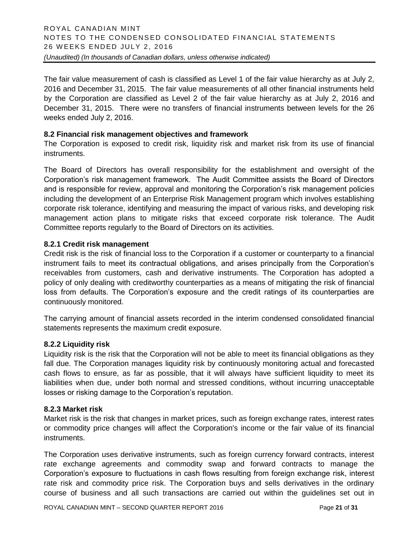The fair value measurement of cash is classified as Level 1 of the fair value hierarchy as at July 2, 2016 and December 31, 2015. The fair value measurements of all other financial instruments held by the Corporation are classified as Level 2 of the fair value hierarchy as at July 2, 2016 and December 31, 2015. There were no transfers of financial instruments between levels for the 26 weeks ended July 2, 2016.

#### **8.2 Financial risk management objectives and framework**

The Corporation is exposed to credit risk, liquidity risk and market risk from its use of financial instruments.

The Board of Directors has overall responsibility for the establishment and oversight of the Corporation's risk management framework. The Audit Committee assists the Board of Directors and is responsible for review, approval and monitoring the Corporation's risk management policies including the development of an Enterprise Risk Management program which involves establishing corporate risk tolerance, identifying and measuring the impact of various risks, and developing risk management action plans to mitigate risks that exceed corporate risk tolerance. The Audit Committee reports regularly to the Board of Directors on its activities.

#### **8.2.1 Credit risk management**

Credit risk is the risk of financial loss to the Corporation if a customer or counterparty to a financial instrument fails to meet its contractual obligations, and arises principally from the Corporation's receivables from customers, cash and derivative instruments. The Corporation has adopted a policy of only dealing with creditworthy counterparties as a means of mitigating the risk of financial loss from defaults. The Corporation's exposure and the credit ratings of its counterparties are continuously monitored.

The carrying amount of financial assets recorded in the interim condensed consolidated financial statements represents the maximum credit exposure.

#### **8.2.2 Liquidity risk**

Liquidity risk is the risk that the Corporation will not be able to meet its financial obligations as they fall due. The Corporation manages liquidity risk by continuously monitoring actual and forecasted cash flows to ensure, as far as possible, that it will always have sufficient liquidity to meet its liabilities when due, under both normal and stressed conditions, without incurring unacceptable losses or risking damage to the Corporation's reputation.

#### **8.2.3 Market risk**

Market risk is the risk that changes in market prices, such as foreign exchange rates, interest rates or commodity price changes will affect the Corporation's income or the fair value of its financial instruments.

The Corporation uses derivative instruments, such as foreign currency forward contracts, interest rate exchange agreements and commodity swap and forward contracts to manage the Corporation's exposure to fluctuations in cash flows resulting from foreign exchange risk, interest rate risk and commodity price risk. The Corporation buys and sells derivatives in the ordinary course of business and all such transactions are carried out within the guidelines set out in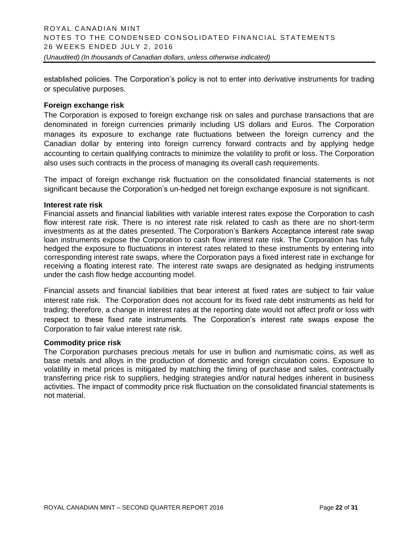established policies. The Corporation's policy is not to enter into derivative instruments for trading or speculative purposes.

#### **Foreign exchange risk**

The Corporation is exposed to foreign exchange risk on sales and purchase transactions that are denominated in foreign currencies primarily including US dollars and Euros. The Corporation manages its exposure to exchange rate fluctuations between the foreign currency and the Canadian dollar by entering into foreign currency forward contracts and by applying hedge accounting to certain qualifying contracts to minimize the volatility to profit or loss. The Corporation also uses such contracts in the process of managing its overall cash requirements.

The impact of foreign exchange risk fluctuation on the consolidated financial statements is not significant because the Corporation's un-hedged net foreign exchange exposure is not significant.

#### **Interest rate risk**

Financial assets and financial liabilities with variable interest rates expose the Corporation to cash flow interest rate risk. There is no interest rate risk related to cash as there are no short-term investments as at the dates presented. The Corporation's Bankers Acceptance interest rate swap loan instruments expose the Corporation to cash flow interest rate risk. The Corporation has fully hedged the exposure to fluctuations in interest rates related to these instruments by entering into corresponding interest rate swaps, where the Corporation pays a fixed interest rate in exchange for receiving a floating interest rate. The interest rate swaps are designated as hedging instruments under the cash flow hedge accounting model.

Financial assets and financial liabilities that bear interest at fixed rates are subject to fair value interest rate risk. The Corporation does not account for its fixed rate debt instruments as held for trading; therefore, a change in interest rates at the reporting date would not affect profit or loss with respect to these fixed rate instruments. The Corporation's interest rate swaps expose the Corporation to fair value interest rate risk.

#### **Commodity price risk**

The Corporation purchases precious metals for use in bullion and numismatic coins, as well as base metals and alloys in the production of domestic and foreign circulation coins. Exposure to volatility in metal prices is mitigated by matching the timing of purchase and sales, contractually transferring price risk to suppliers, hedging strategies and/or natural hedges inherent in business activities. The impact of commodity price risk fluctuation on the consolidated financial statements is not material.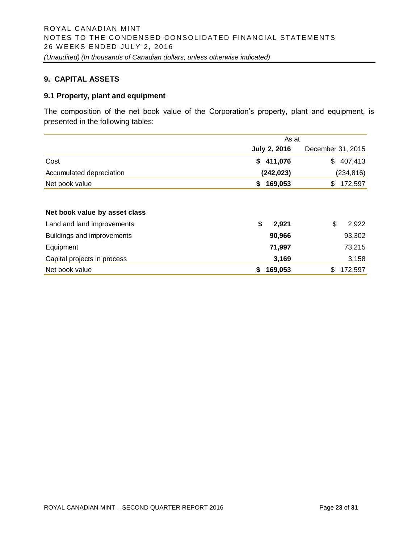#### **9. CAPITAL ASSETS**

#### **9.1 Property, plant and equipment**

The composition of the net book value of the Corporation's property, plant and equipment, is presented in the following tables:

|                               | As at               |                   |  |  |  |  |
|-------------------------------|---------------------|-------------------|--|--|--|--|
|                               | <b>July 2, 2016</b> | December 31, 2015 |  |  |  |  |
| Cost                          | 411,076<br>\$       | 407,413<br>\$     |  |  |  |  |
| Accumulated depreciation      | (242, 023)          | (234, 816)        |  |  |  |  |
| Net book value                | 169,053<br>\$       | 172,597<br>\$     |  |  |  |  |
|                               |                     |                   |  |  |  |  |
| Net book value by asset class |                     |                   |  |  |  |  |
| Land and land improvements    | \$<br>2,921         | \$<br>2,922       |  |  |  |  |
| Buildings and improvements    | 90,966              | 93,302            |  |  |  |  |
| Equipment                     | 71,997              | 73,215            |  |  |  |  |
| Capital projects in process   | 3,169               | 3,158             |  |  |  |  |
| Net book value                | 169,053<br>\$       | 172,597<br>\$     |  |  |  |  |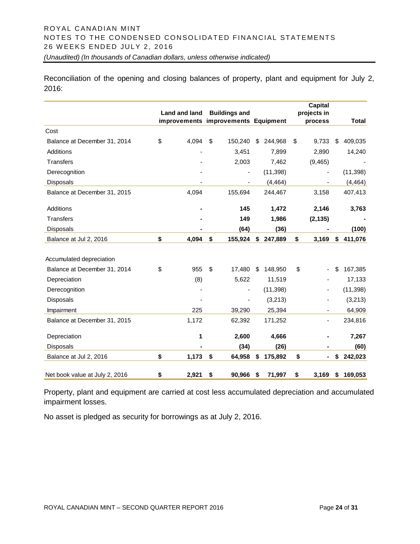Reconciliation of the opening and closing balances of property, plant and equipment for July 2, 2016:

|                                | Land and land | <b>Buildings and</b><br>improvements improvements Equipment |    |           | <b>Capital</b><br>projects in<br>process | <b>Total</b>  |
|--------------------------------|---------------|-------------------------------------------------------------|----|-----------|------------------------------------------|---------------|
| Cost                           |               |                                                             |    |           |                                          |               |
| Balance at December 31, 2014   | \$<br>4,094   | \$<br>150,240                                               | \$ | 244,968   | \$<br>9,733                              | \$<br>409,035 |
| Additions                      |               | 3,451                                                       |    | 7,899     | 2,890                                    | 14,240        |
| <b>Transfers</b>               |               | 2,003                                                       |    | 7,462     | (9, 465)                                 |               |
| Derecognition                  |               |                                                             |    | (11, 398) | $\overline{\phantom{a}}$                 | (11, 398)     |
| <b>Disposals</b>               |               |                                                             |    | (4, 464)  |                                          | (4, 464)      |
| Balance at December 31, 2015   | 4,094         | 155,694                                                     |    | 244,467   | 3,158                                    | 407,413       |
| Additions                      |               | 145                                                         |    | 1,472     | 2,146                                    | 3,763         |
| <b>Transfers</b>               |               | 149                                                         |    | 1,986     | (2, 135)                                 |               |
| <b>Disposals</b>               |               | (64)                                                        |    | (36)      |                                          | (100)         |
| Balance at Jul 2, 2016         | \$<br>4,094   | \$<br>155,924                                               | \$ | 247,889   | \$<br>3,169                              | \$<br>411,076 |
| Accumulated depreciation       |               |                                                             |    |           |                                          |               |
| Balance at December 31, 2014   | \$<br>955     | \$<br>17,480                                                | \$ | 148,950   | \$                                       | \$<br>167,385 |
| Depreciation                   | (8)           | 5,622                                                       |    | 11,519    |                                          | 17,133        |
| Derecognition                  |               |                                                             |    | (11, 398) |                                          | (11, 398)     |
| Disposals                      |               |                                                             |    | (3,213)   |                                          | (3,213)       |
| Impairment                     | 225           | 39,290                                                      |    | 25,394    |                                          | 64,909        |
| Balance at December 31, 2015   | 1,172         | 62,392                                                      |    | 171,252   |                                          | 234,816       |
| Depreciation                   | 1             | 2,600                                                       |    | 4,666     |                                          | 7,267         |
| <b>Disposals</b>               |               | (34)                                                        |    | (26)      |                                          | (60)          |
| Balance at Jul 2, 2016         | \$<br>1,173   | \$<br>64,958                                                | \$ | 175,892   | \$<br>$\blacksquare$                     | \$<br>242,023 |
| Net book value at July 2, 2016 | \$<br>2,921   | \$<br>90,966                                                | \$ | 71,997    | \$<br>3,169                              | \$169,053     |

Property, plant and equipment are carried at cost less accumulated depreciation and accumulated impairment losses.

No asset is pledged as security for borrowings as at July 2, 2016.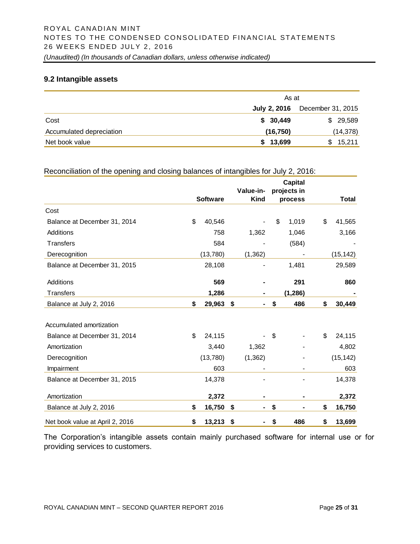#### **9.2 Intangible assets**

|                          | As at               |                   |  |  |  |  |  |  |
|--------------------------|---------------------|-------------------|--|--|--|--|--|--|
|                          | <b>July 2, 2016</b> | December 31, 2015 |  |  |  |  |  |  |
| Cost                     | \$30,449            | \$29,589          |  |  |  |  |  |  |
| Accumulated depreciation | (16, 750)           | (14, 378)         |  |  |  |  |  |  |
| Net book value           | \$13,699            | \$15,211          |  |  |  |  |  |  |

#### Reconciliation of the opening and closing balances of intangibles for July 2, 2016:

|                                 |                 | Value-in-   | <b>Capital</b><br>projects in |              |
|---------------------------------|-----------------|-------------|-------------------------------|--------------|
|                                 | <b>Software</b> | <b>Kind</b> | process                       | <b>Total</b> |
| Cost                            |                 |             |                               |              |
| Balance at December 31, 2014    | \$<br>40,546    |             | \$<br>1,019                   | \$<br>41,565 |
| Additions                       | 758             | 1,362       | 1,046                         | 3,166        |
| <b>Transfers</b>                | 584             |             | (584)                         |              |
| Derecognition                   | (13,780)        | (1, 362)    |                               | (15, 142)    |
| Balance at December 31, 2015    | 28,108          |             | 1,481                         | 29,589       |
| Additions                       | 569             |             | 291                           | 860          |
| Transfers                       | 1,286           |             | (1, 286)                      |              |
| Balance at July 2, 2016         | \$<br>29,963    | \$<br>۰     | \$<br>486                     | \$<br>30,449 |
| Accumulated amortization        |                 |             |                               |              |
| Balance at December 31, 2014    | \$<br>24,115    |             | \$                            | \$<br>24,115 |
| Amortization                    | 3,440           | 1,362       |                               | 4,802        |
| Derecognition                   | (13,780)        | (1, 362)    |                               | (15, 142)    |
| Impairment                      | 603             |             |                               | 603          |
| Balance at December 31, 2015    | 14,378          |             |                               | 14,378       |
| Amortization                    | 2,372           |             |                               | 2,372        |
| Balance at July 2, 2016         | \$<br>16,750    | \$<br>۰     | \$                            | \$<br>16,750 |
| Net book value at April 2, 2016 | \$<br>13,213    | \$          | \$<br>486                     | \$<br>13,699 |

The Corporation's intangible assets contain mainly purchased software for internal use or for providing services to customers.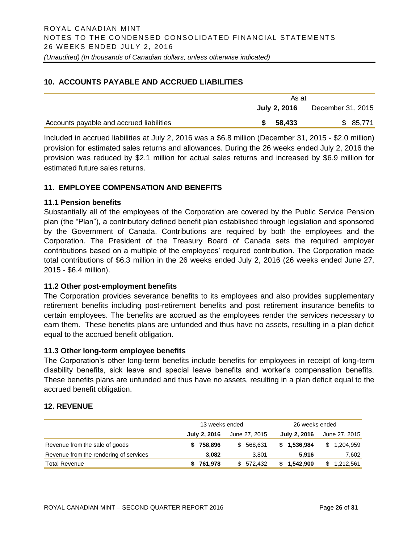#### **10. ACCOUNTS PAYABLE AND ACCRUED LIABILITIES**

|                                          | As at     |                                       |  |  |
|------------------------------------------|-----------|---------------------------------------|--|--|
|                                          |           | <b>July 2, 2016</b> December 31, 2015 |  |  |
| Accounts payable and accrued liabilities | \$ 58,433 | \$ 85,771                             |  |  |

Included in accrued liabilities at July 2, 2016 was a \$6.8 million (December 31, 2015 - \$2.0 million) provision for estimated sales returns and allowances. During the 26 weeks ended July 2, 2016 the provision was reduced by \$2.1 million for actual sales returns and increased by \$6.9 million for estimated future sales returns.

# **11. EMPLOYEE COMPENSATION AND BENEFITS**

#### **11.1 Pension benefits**

Substantially all of the employees of the Corporation are covered by the Public Service Pension plan (the "Plan"), a contributory defined benefit plan established through legislation and sponsored by the Government of Canada. Contributions are required by both the employees and the Corporation. The President of the Treasury Board of Canada sets the required employer contributions based on a multiple of the employees' required contribution. The Corporation made total contributions of \$6.3 million in the 26 weeks ended July 2, 2016 (26 weeks ended June 27, 2015 - \$6.4 million).

#### **11.2 Other post-employment benefits**

The Corporation provides severance benefits to its employees and also provides supplementary retirement benefits including post-retirement benefits and post retirement insurance benefits to certain employees. The benefits are accrued as the employees render the services necessary to earn them. These benefits plans are unfunded and thus have no assets, resulting in a plan deficit equal to the accrued benefit obligation.

#### **11.3 Other long-term employee benefits**

The Corporation's other long-term benefits include benefits for employees in receipt of long-term disability benefits, sick leave and special leave benefits and worker's compensation benefits. These benefits plans are unfunded and thus have no assets, resulting in a plan deficit equal to the accrued benefit obligation.

#### **12. REVENUE**

|                                        | 13 weeks ended |               | 26 weeks ended |                 |  |  |  |
|----------------------------------------|----------------|---------------|----------------|-----------------|--|--|--|
|                                        | July 2, 2016   | June 27, 2015 | July 2, 2016   | June 27, 2015   |  |  |  |
| Revenue from the sale of goods         | 758,896        | 568.631<br>S. | \$1,536,984    | 1,204,959<br>S. |  |  |  |
| Revenue from the rendering of services | 3.082          | 3.801         | 5.916          | 7,602           |  |  |  |
| <b>Total Revenue</b>                   | 761,978        | \$ 572.432    | 1,542,900      | 1,212,561<br>S  |  |  |  |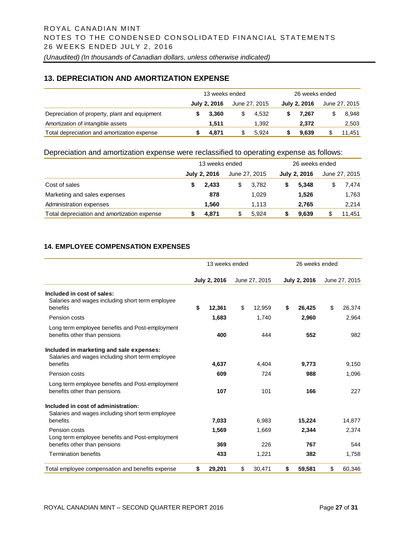#### **13. DEPRECIATION AND AMORTIZATION EXPENSE**

|                                               | 13 weeks ended |              |   |               | 26 weeks ended |                     |  |               |  |
|-----------------------------------------------|----------------|--------------|---|---------------|----------------|---------------------|--|---------------|--|
|                                               |                | July 2, 2016 |   | June 27, 2015 |                | <b>July 2, 2016</b> |  | June 27, 2015 |  |
| Depreciation of property, plant and equipment |                | 3.360        | S | 4.532         |                | 7.267               |  | 8.948         |  |
| Amortization of intangible assets             |                | 1.511        |   | 1.392         |                | 2.372               |  | 2,503         |  |
| Total depreciation and amortization expense   |                | 4.871        |   | 5.924         |                | 9.639               |  | 11.451        |  |

#### Depreciation and amortization expense were reclassified to operating expense as follows:

|                                             | 13 weeks ended |              |   |               | 26 weeks ended |              |   |               |  |
|---------------------------------------------|----------------|--------------|---|---------------|----------------|--------------|---|---------------|--|
|                                             |                | July 2, 2016 |   | June 27, 2015 |                | July 2, 2016 |   | June 27, 2015 |  |
| Cost of sales                               |                | 2.433        | S | 3.782         |                | 5.348        | S | 7.474         |  |
| Marketing and sales expenses                |                | 878          |   | 1.029         |                | 1.526        |   | 1,763         |  |
| Administration expenses                     |                | 1.560        |   | 1.113         |                | 2,765        |   | 2,214         |  |
| Total depreciation and amortization expense |                | 4,871        | S | 5.924         |                | 9.639        |   | 11.451        |  |

#### **14. EMPLOYEE COMPENSATION EXPENSES**

|                                                                                                          | 13 weeks ended |                     |    |               | 26 weeks ended |              |    |               |
|----------------------------------------------------------------------------------------------------------|----------------|---------------------|----|---------------|----------------|--------------|----|---------------|
|                                                                                                          |                | <b>July 2, 2016</b> |    | June 27, 2015 |                | July 2, 2016 |    | June 27, 2015 |
| Included in cost of sales:<br>Salaries and wages including short term employee<br>benefits               |                | 12.361              | \$ | 12.959        | \$             | 26,425       | \$ | 26,374        |
| Pension costs                                                                                            |                | 1,683               |    | 1.740         |                | 2,960        |    | 2,964         |
| Long term employee benefits and Post-employment<br>benefits other than pensions                          |                | 400                 |    | 444           |                | 552          |    | 982           |
| Included in marketing and sale expenses:<br>Salaries and wages including short term employee<br>benefits |                | 4,637               |    | 4,404         |                | 9,773        |    | 9,150         |
| Pension costs                                                                                            |                | 609                 |    | 724           |                | 988          |    | 1,096         |
| Long term employee benefits and Post-employment<br>benefits other than pensions                          |                | 107                 |    | 101           |                | 166          |    | 227           |
| Included in cost of administration:<br>Salaries and wages including short term employee<br>benefits      |                | 7,033               |    | 6,983         |                | 15,224       |    | 14,877        |
| Pension costs<br>Long term employee benefits and Post-employment                                         |                | 1,569               |    | 1,669         |                | 2,344        |    | 2,374         |
| benefits other than pensions                                                                             |                | 369                 |    | 226           |                | 767          |    | 544           |
| <b>Termination benefits</b>                                                                              |                | 433                 |    | 1,221         |                | 382          |    | 1,758         |
| Total employee compensation and benefits expense                                                         | \$             | 29,201              | \$ | 30,471        | \$             | 59,581       | \$ | 60,346        |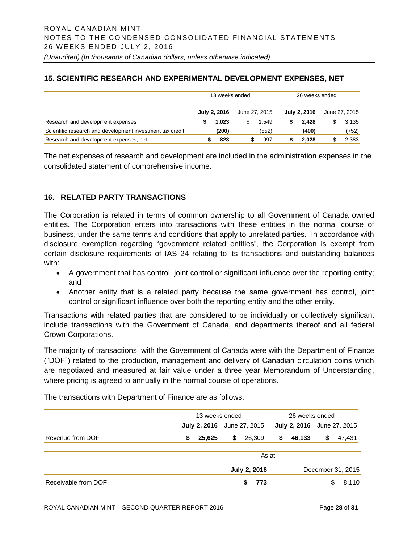# **15. SCIENTIFIC RESEARCH AND EXPERIMENTAL DEVELOPMENT EXPENSES, NET**

|                                                           | 13 weeks ended |                     |               |       | 26 weeks ended |              |   |               |
|-----------------------------------------------------------|----------------|---------------------|---------------|-------|----------------|--------------|---|---------------|
|                                                           |                | <b>July 2, 2016</b> | June 27, 2015 |       |                | July 2, 2016 |   | June 27, 2015 |
| Research and development expenses                         |                | 1.023               | S             | 1.549 |                | 2.428        | S | 3.135         |
| Scientific research and development investment tax credit |                | (200)               |               | (552) |                | (400)        |   | (752)         |
| Research and development expenses, net                    |                | 823                 |               | 997   |                | 2.028        |   | 2,383         |

The net expenses of research and development are included in the administration expenses in the consolidated statement of comprehensive income.

# **16. RELATED PARTY TRANSACTIONS**

The Corporation is related in terms of common ownership to all Government of Canada owned entities. The Corporation enters into transactions with these entities in the normal course of business, under the same terms and conditions that apply to unrelated parties. In accordance with disclosure exemption regarding "government related entities", the Corporation is exempt from certain disclosure requirements of IAS 24 relating to its transactions and outstanding balances with:

- A government that has control, joint control or significant influence over the reporting entity; and
- Another entity that is a related party because the same government has control, joint control or significant influence over both the reporting entity and the other entity.

Transactions with related parties that are considered to be individually or collectively significant include transactions with the Government of Canada, and departments thereof and all federal Crown Corporations.

The majority of transactions with the Government of Canada were with the Department of Finance ("DOF") related to the production, management and delivery of Canadian circulation coins which are negotiated and measured at fair value under a three year Memorandum of Understanding, where pricing is agreed to annually in the normal course of operations.

The transactions with Department of Finance are as follows:

|                     | 13 weeks ended |                     |                                          |               | 26 weeks ended |                                   |    |        |
|---------------------|----------------|---------------------|------------------------------------------|---------------|----------------|-----------------------------------|----|--------|
|                     |                | <b>July 2, 2016</b> |                                          | June 27, 2015 |                | <b>July 2, 2016</b> June 27, 2015 |    |        |
| Revenue from DOF    | S              | 25,625              | \$                                       | 26,309        | S              | 46,133                            | \$ | 47,431 |
|                     | As at          |                     |                                          |               |                |                                   |    |        |
|                     |                |                     | <b>July 2, 2016</b><br>December 31, 2015 |               |                |                                   |    |        |
| Receivable from DOF |                |                     |                                          | 773           |                |                                   | S  | 8,110  |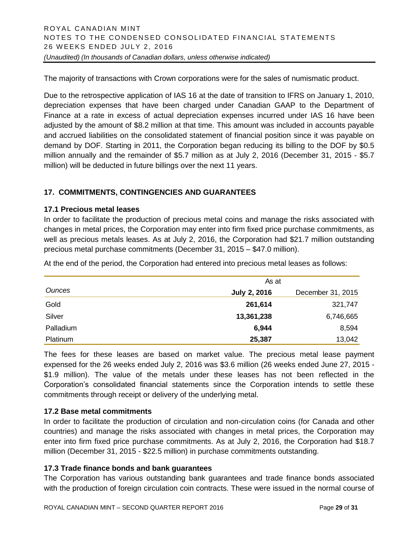The majority of transactions with Crown corporations were for the sales of numismatic product.

Due to the retrospective application of IAS 16 at the date of transition to IFRS on January 1, 2010, depreciation expenses that have been charged under Canadian GAAP to the Department of Finance at a rate in excess of actual depreciation expenses incurred under IAS 16 have been adjusted by the amount of \$8.2 million at that time. This amount was included in accounts payable and accrued liabilities on the consolidated statement of financial position since it was payable on demand by DOF. Starting in 2011, the Corporation began reducing its billing to the DOF by \$0.5 million annually and the remainder of \$5.7 million as at July 2, 2016 (December 31, 2015 - \$5.7 million) will be deducted in future billings over the next 11 years.

# **17. COMMITMENTS, CONTINGENCIES AND GUARANTEES**

#### **17.1 Precious metal leases**

In order to facilitate the production of precious metal coins and manage the risks associated with changes in metal prices, the Corporation may enter into firm fixed price purchase commitments, as well as precious metals leases. As at July 2, 2016, the Corporation had \$21.7 million outstanding precious metal purchase commitments (December 31, 2015 – \$47.0 million).

At the end of the period, the Corporation had entered into precious metal leases as follows:

|           | As at               |                   |
|-----------|---------------------|-------------------|
| Ounces    | <b>July 2, 2016</b> | December 31, 2015 |
| Gold      | 261,614             | 321,747           |
| Silver    | 13,361,238          | 6,746,665         |
| Palladium | 6,944               | 8,594             |
| Platinum  | 25,387              | 13,042            |

The fees for these leases are based on market value. The precious metal lease payment expensed for the 26 weeks ended July 2, 2016 was \$3.6 million (26 weeks ended June 27, 2015 - \$1.9 million). The value of the metals under these leases has not been reflected in the Corporation's consolidated financial statements since the Corporation intends to settle these commitments through receipt or delivery of the underlying metal.

#### **17.2 Base metal commitments**

In order to facilitate the production of circulation and non-circulation coins (for Canada and other countries) and manage the risks associated with changes in metal prices, the Corporation may enter into firm fixed price purchase commitments. As at July 2, 2016, the Corporation had \$18.7 million (December 31, 2015 - \$22.5 million) in purchase commitments outstanding.

#### **17.3 Trade finance bonds and bank guarantees**

The Corporation has various outstanding bank guarantees and trade finance bonds associated with the production of foreign circulation coin contracts. These were issued in the normal course of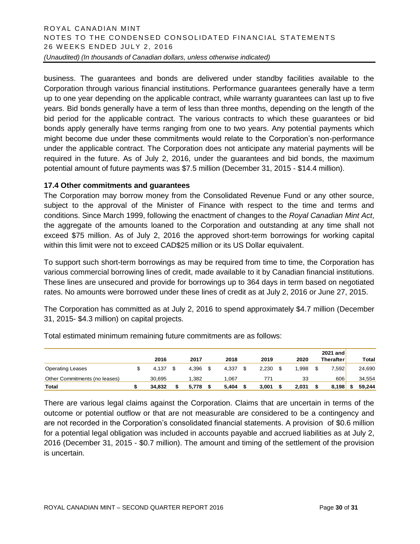business. The guarantees and bonds are delivered under standby facilities available to the Corporation through various financial institutions. Performance guarantees generally have a term up to one year depending on the applicable contract, while warranty guarantees can last up to five years. Bid bonds generally have a term of less than three months, depending on the length of the bid period for the applicable contract. The various contracts to which these guarantees or bid bonds apply generally have terms ranging from one to two years. Any potential payments which might become due under these commitments would relate to the Corporation's non-performance under the applicable contract. The Corporation does not anticipate any material payments will be required in the future. As of July 2, 2016, under the guarantees and bid bonds, the maximum potential amount of future payments was \$7.5 million (December 31, 2015 - \$14.4 million).

#### **17.4 Other commitments and guarantees**

The Corporation may borrow money from the Consolidated Revenue Fund or any other source, subject to the approval of the Minister of Finance with respect to the time and terms and conditions. Since March 1999, following the enactment of changes to the *Royal Canadian Mint Act*, the aggregate of the amounts loaned to the Corporation and outstanding at any time shall not exceed \$75 million. As of July 2, 2016 the approved short-term borrowings for working capital within this limit were not to exceed CAD\$25 million or its US Dollar equivalent.

To support such short-term borrowings as may be required from time to time, the Corporation has various commercial borrowing lines of credit, made available to it by Canadian financial institutions. These lines are unsecured and provide for borrowings up to 364 days in term based on negotiated rates. No amounts were borrowed under these lines of credit as at July 2, 2016 or June 27, 2015.

The Corporation has committed as at July 2, 2016 to spend approximately \$4.7 million (December 31, 2015- \$4.3 million) on capital projects.

|                               |        |       |       |       |       | 2021 and  |        |
|-------------------------------|--------|-------|-------|-------|-------|-----------|--------|
|                               | 2016   | 2017  | 2018  | 2019  | 2020  | Therafter | Total  |
| <b>Operating Leases</b>       | 4.137  | 4.396 | 4.337 | 2.230 | .998  | 7.592     | 24,690 |
| Other Commitments (no leases) | 30.695 | 1.382 | 1.067 | 771   | 33    | 606       | 34.554 |
| Total                         | 34.832 | 5.778 | 5.404 | 3,001 | 2,031 | 8.198     | 59.244 |

Total estimated minimum remaining future commitments are as follows:

There are various legal claims against the Corporation. Claims that are uncertain in terms of the outcome or potential outflow or that are not measurable are considered to be a contingency and are not recorded in the Corporation's consolidated financial statements. A provision of \$0.6 million for a potential legal obligation was included in accounts payable and accrued liabilities as at July 2, 2016 (December 31, 2015 - \$0.7 million). The amount and timing of the settlement of the provision is uncertain.